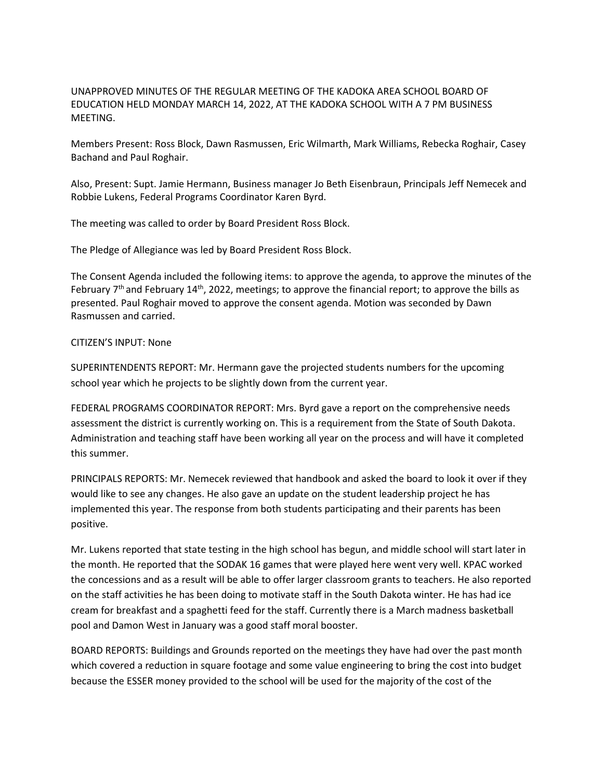UNAPPROVED MINUTES OF THE REGULAR MEETING OF THE KADOKA AREA SCHOOL BOARD OF EDUCATION HELD MONDAY MARCH 14, 2022, AT THE KADOKA SCHOOL WITH A 7 PM BUSINESS MEETING.

Members Present: Ross Block, Dawn Rasmussen, Eric Wilmarth, Mark Williams, Rebecka Roghair, Casey Bachand and Paul Roghair.

Also, Present: Supt. Jamie Hermann, Business manager Jo Beth Eisenbraun, Principals Jeff Nemecek and Robbie Lukens, Federal Programs Coordinator Karen Byrd.

The meeting was called to order by Board President Ross Block.

The Pledge of Allegiance was led by Board President Ross Block.

The Consent Agenda included the following items: to approve the agenda, to approve the minutes of the February  $7<sup>th</sup>$  and February 14<sup>th</sup>, 2022, meetings; to approve the financial report; to approve the bills as presented. Paul Roghair moved to approve the consent agenda. Motion was seconded by Dawn Rasmussen and carried.

## CITIZEN'S INPUT: None

SUPERINTENDENTS REPORT: Mr. Hermann gave the projected students numbers for the upcoming school year which he projects to be slightly down from the current year.

FEDERAL PROGRAMS COORDINATOR REPORT: Mrs. Byrd gave a report on the comprehensive needs assessment the district is currently working on. This is a requirement from the State of South Dakota. Administration and teaching staff have been working all year on the process and will have it completed this summer.

PRINCIPALS REPORTS: Mr. Nemecek reviewed that handbook and asked the board to look it over if they would like to see any changes. He also gave an update on the student leadership project he has implemented this year. The response from both students participating and their parents has been positive.

Mr. Lukens reported that state testing in the high school has begun, and middle school will start later in the month. He reported that the SODAK 16 games that were played here went very well. KPAC worked the concessions and as a result will be able to offer larger classroom grants to teachers. He also reported on the staff activities he has been doing to motivate staff in the South Dakota winter. He has had ice cream for breakfast and a spaghetti feed for the staff. Currently there is a March madness basketball pool and Damon West in January was a good staff moral booster.

BOARD REPORTS: Buildings and Grounds reported on the meetings they have had over the past month which covered a reduction in square footage and some value engineering to bring the cost into budget because the ESSER money provided to the school will be used for the majority of the cost of the